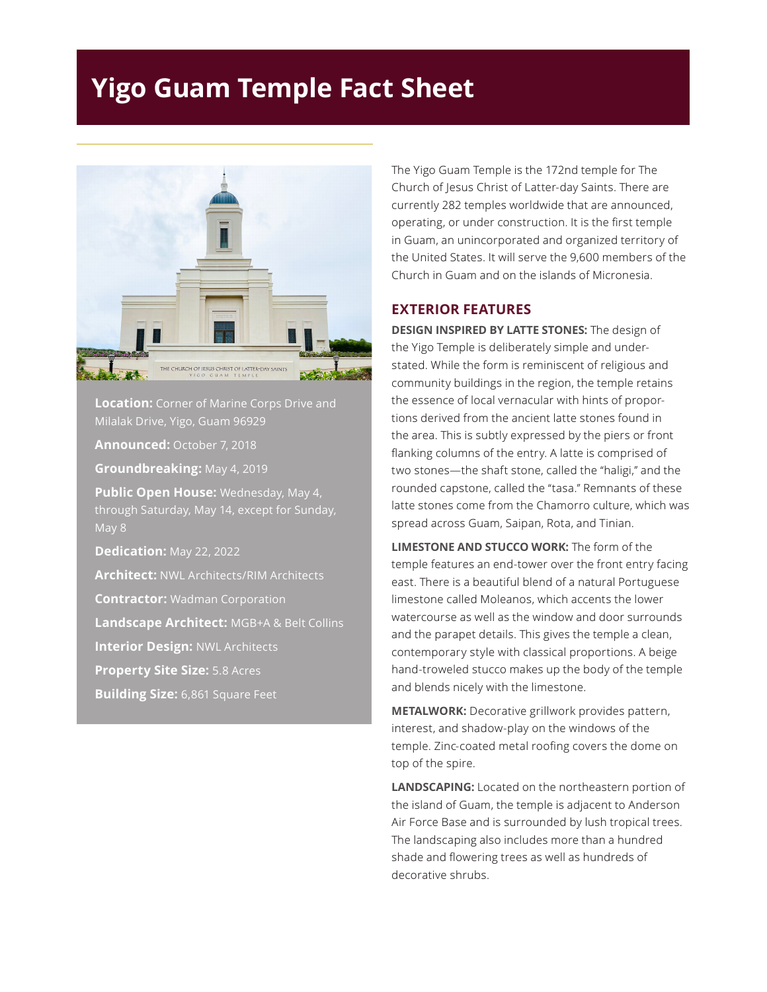## **Yigo Guam Temple Fact Sheet**



**Location:** Corner of Marine Corps Drive and Milalak Drive, Yigo, Guam 96929

**Announced:** October 7, 2018

**Groundbreaking:** May 4, 2019

**Public Open House:** Wednesday, May 4, through Saturday, May 14, except for Sunday,

**Dedication:** May 22, 2022

**Architect:** NWL Architects/RIM Architects

**Contractor:** Wadman Corporation

**Landscape Architect:** MGB+A & Belt Collins

**Interior Design:** NWL Architects

**Property Site Size:** 5.8 Acres

**Building Size:** 6,861 Square Feet

The Yigo Guam Temple is the 172nd temple for The Church of Jesus Christ of Latter-day Saints. There are currently 282 temples worldwide that are announced, operating, or under construction. It is the first temple in Guam, an unincorporated and organized territory of the United States. It will serve the 9,600 members of the Church in Guam and on the islands of Micronesia.

## **EXTERIOR FEATURES**

**DESIGN INSPIRED BY LATTE STONES:** The design of the Yigo Temple is deliberately simple and understated. While the form is reminiscent of religious and community buildings in the region, the temple retains the essence of local vernacular with hints of proportions derived from the ancient latte stones found in the area. This is subtly expressed by the piers or front flanking columns of the entry. A latte is comprised of two stones—the shaft stone, called the "haligi," and the rounded capstone, called the "tasa." Remnants of these latte stones come from the Chamorro culture, which was spread across Guam, Saipan, Rota, and Tinian.

**LIMESTONE AND STUCCO WORK:** The form of the temple features an end-tower over the front entry facing east. There is a beautiful blend of a natural Portuguese limestone called Moleanos, which accents the lower watercourse as well as the window and door surrounds and the parapet details. This gives the temple a clean, contemporary style with classical proportions. A beige hand-troweled stucco makes up the body of the temple and blends nicely with the limestone.

**METALWORK:** Decorative grillwork provides pattern, interest, and shadow-play on the windows of the temple. Zinc-coated metal roofing covers the dome on top of the spire.

**LANDSCAPING:** Located on the northeastern portion of the island of Guam, the temple is adjacent to Anderson Air Force Base and is surrounded by lush tropical trees. The landscaping also includes more than a hundred shade and flowering trees as well as hundreds of decorative shrubs.